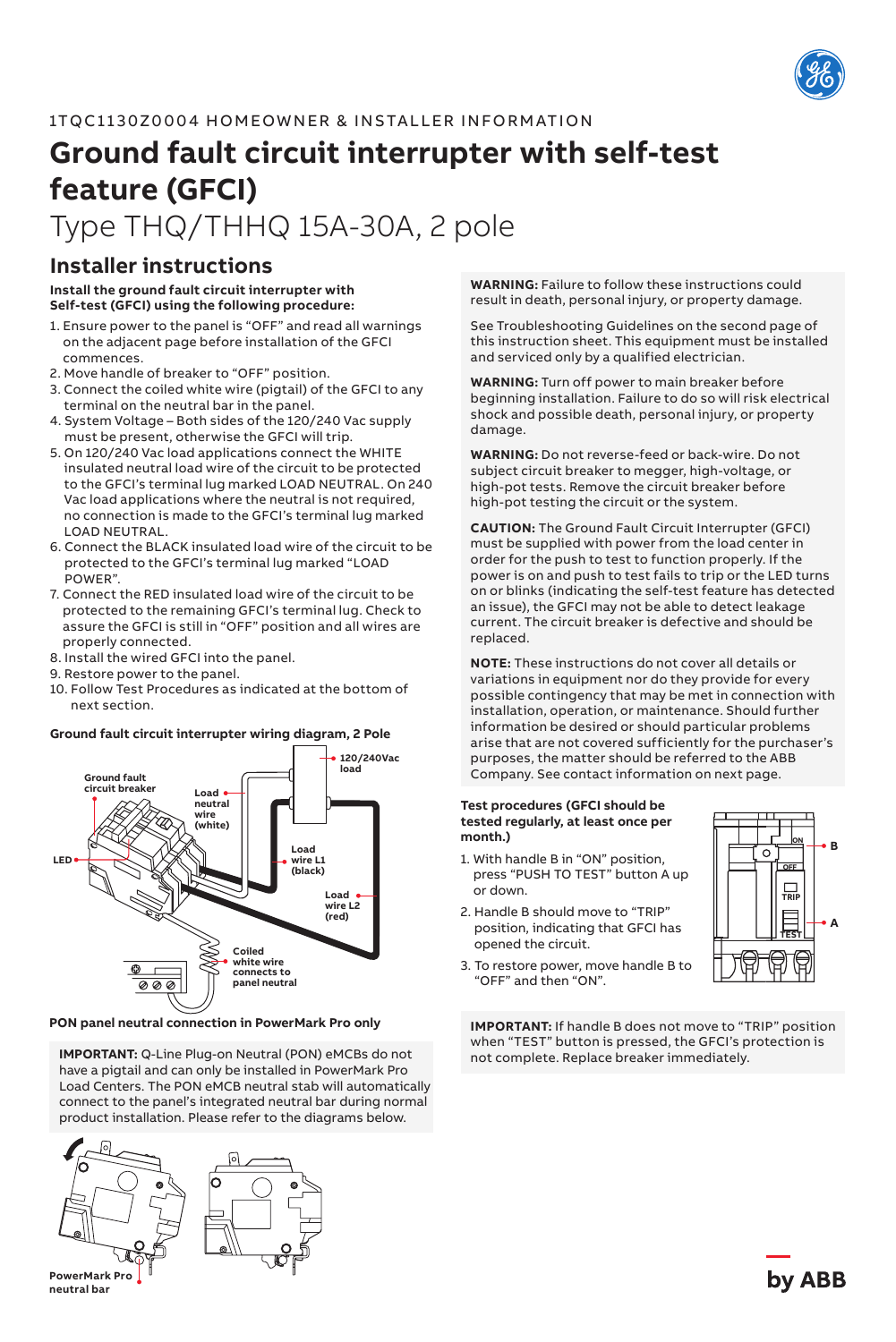

1TQC1130Z0004 HOMEOWNER & INSTALLER INFORMATION

# **Ground fault circuit interrupter with self-test feature (GFCI)**  Type THQ/THHQ 15A-30A, 2 pole

## **Installer instructions B ON**

#### Install the ground fault circuit interrupter with **Self-test (GFCI) using the following procedure:**

- 1. Ensure power to the panel is "OFF" and read all warnings **TRIP** on the adjacent page before installation of the GFCI **A** commences.
- 2. Move handle of breaker to "OFF" position.
- 3. Connect the coiled white wire (pigtail) of the GFCI to any terminal on the neutral bar in the panel.
- 4. System Voltage Both sides of the 120/240 Vac supply must be present, otherwise the GFCI will trip.
- 5. On 120/240 Vac load applications connect the WHITE insulated neutral load wire of the circuit to be protected to the GFCI's terminal lug marked LOAD NEUTRAL. On 240 Vac load applications where the neutral is not required, no connection is made to the GFCI's terminal lug marked LOAD NEUTRAL.
- 6. Connect the BLACK insulated load wire of the circuit to be protected to the GFCI's terminal lug marked "LOAD POWER".
- 7. Connect the RED insulated load wire of the circuit to be protected to the remaining GFCI's terminal lug. Check to assure the GFCI is still in "OFF" position and all wires are properly connected.
- 8. Install the wired GFCI into the panel.
- 9. Restore power to the panel.
- 10. Follow Test Procedures as indicated at the bottom of next section.

#### **Ground fault circuit interrupter wiring diagram, 2 Pole**



#### **PON panel neutral connection in PowerMark Pro only**

**IMPORTANT:** Q-Line Plug-on Neutral (PON) eMCBs do not have a pigtail and can only be installed in PowerMark Pro Load Centers. The PON eMCB neutral stab will automatically connect to the panel's integrated neutral bar during normal product installation. Please refer to the diagrams below.



**neutral bar**



by ABB

**WARNING:** Failure to follow these instructions could result in death, personal injury, or property damage.

See Troubleshooting Guidelines on the second page of this instruction sheet. This equipment must be installed and serviced only by a qualified electrician.

**WARNING:** Turn off power to main breaker before beginning installation. Failure to do so will risk electrical shock and possible death, personal injury, or property damage.

**WARNING:** Do not reverse-feed or back-wire. Do not subject circuit breaker to megger, high-voltage, or high-pot tests. Remove the circuit breaker before high-pot testing the circuit or the system. **B ON**

**CAUTION:** The Ground Fault Circuit Interrupter (GFCI) must be supplied with power from the load center in order for the push to test to function properly. If the **TRIP** power is on and push to test fails to trip or the LED turns on or blinks (indicating the self-test feature has detected **A** an issue), the GFCI may not be able to detect leakage current. The circuit breaker is defective and should be replaced.

**NOTE:** These instructions do not cover all details or variations in equipment nor do they provide for every possible contingency that may be met in connection with installation, operation, or maintenance. Should further information be desired or should particular problems arise that are not covered sufficiently for the purchaser's purposes, the matter should be referred to the ABB Company. See contact information on next page. **Carga de** 

#### **Test procedures (GFCI should be Disyuntor de descarga a tierra tested regularly, at least once per Cable de carga month.)**

- 1. With handle B in "ON" position, press "PUSH TO TEST" button A up **LED** or down.
- 2. Handle B should move to "TRIP" position, indicating that GFCI has opened the circuit.
- 3. To restore power, move handle B to **H**  $\|\cdot\|$ "OFF" and then "ON".



**IMPORTANT:** If handle B does not move to "TRIP" position when "TEST" button is pressed, the GFCI's protection is not complete. Replace breaker immediately.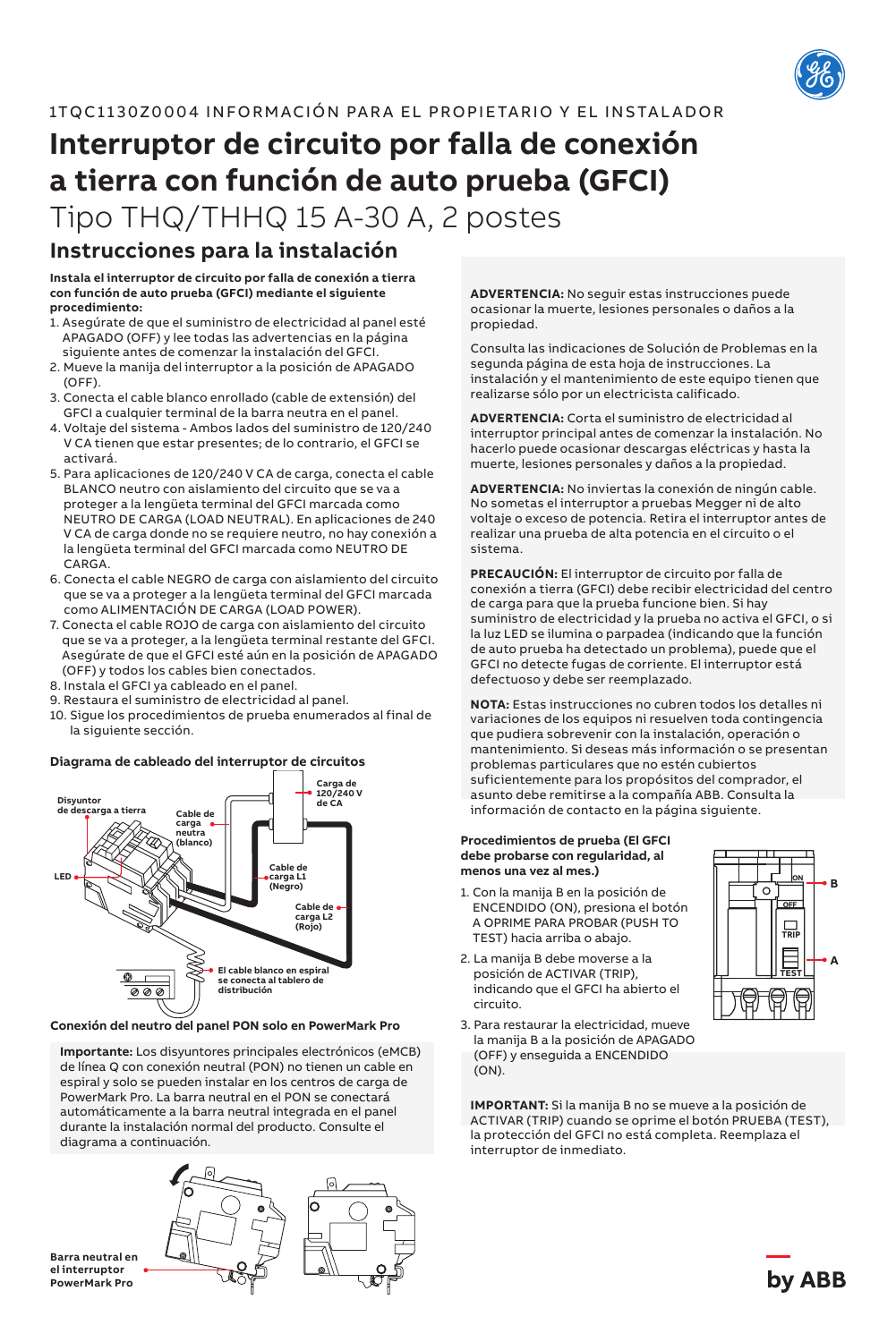

1TQC1130Z0004 INFORMACIÓN PARA EL PROPIETARIO Y EL INSTALADOR

# **Interruptor de circuito por falla de conexión a tierra con función de auto prueba (GFCI)**

Tipo THQ/THHQ 15 A-30 A, 2 postes

### **Instrucciones para la instalación**

**Instala el interruptor de circuito por falla de conexión a tierra con función de auto prueba (GFCI) mediante el siguiente procedimiento:**

- 1. Asegúrate de que el suministro de electricidad al panel esté APAGADO (OFF) y lee todas las advertencias en la página siguiente antes de comenzar la instalación del GFCI.
- 2. Mueve la manija del interruptor a la posición de APAGADO (OFF).
- 3. Conecta el cable blanco enrollado (cable de extensión) del GFCI a cualquier terminal de la barra neutra en el panel.
- 4. Voltaje del sistema Ambos lados del suministro de 120/240 V CA tienen que estar presentes; de lo contrario, el GFCI se activará.
- 5. Para aplicaciones de 120/240 V CA de carga, conecta el cable BLANCO neutro con aislamiento del circuito que se va a proteger a la lengüeta terminal del GFCI marcada como **ON** NEUTRO DE CARGA (LOAD NEUTRAL). En aplicaciones de 240 **B** V CA de carga donde no se requiere neutro, no hay conexión a la lengüeta terminal del GFCI marcada como NEUTRO DE CARGA.
- 6. Conecta el cable NEGRO de carga con aislamiento del circuito que se va a proteger a la lengüeta terminal del GFCI marcada **A** como ALIMENTACIÓN DE CARGA (LOAD POWER). **TEST**
- 7. Conecta el cable ROJO de carga con aislamiento del circuito que se va a proteger, a la lengüeta terminal restante del GFCI. Asegúrate de que el GFCI esté aún en la posición de APAGADO (OFF) y todos los cables bien conectados.
- 8. Instala el GFCI ya cableado en el panel.
- 9. Restaura el suministro de electricidad al panel.
- 10. Sigue los procedimientos de prueba enumerados al final de la siguiente sección.

#### **Diagrama de cableado del interruptor de circuitos**



#### **Conexión del neutro del panel PON solo en PowerMark Pro**

**Importante:** Los disyuntores principales electrónicos (eMCB) de línea Q con conexión neutral (PON) no tienen un cable en espiral y solo se pueden instalar en los centros de carga de PowerMark Pro. La barra neutral en el PON se conectará automáticamente a la barra neutral integrada en el panel durante la instalación normal del producto. Consulte el diagrama a continuación.

**Barra neutral en el interruptor PowerMark Pro**

**ADVERTENCIA:** No seguir estas instrucciones puede ocasionar la muerte, lesiones personales o daños a la propiedad.

Consulta las indicaciones de Solución de Problemas en la segunda página de esta hoja de instrucciones. La instalación y el mantenimiento de este equipo tienen que realizarse sólo por un electricista calificado.

**ADVERTENCIA:** Corta el suministro de electricidad al interruptor principal antes de comenzar la instalación. No hacerlo puede ocasionar descargas eléctricas y hasta la muerte, lesiones personales y daños a la propiedad.

**ADVERTENCIA:** No inviertas la conexión de ningún cable. No sometas el interruptor a pruebas Megger ni de alto voltaje o exceso de potencia. Retira el interruptor antes de realizar una prueba de alta potencia en el circuito o el **ON** sistema.

**PRECAUCIÓN:** El interruptor de circuito por falla de conexión a tierra (GFCI) debe recibir electricidad del centro **TRIP** de carga para que la prueba funcione bien. Si hay suministro de electricidad y la prueba no activa el GFCI, o si **TEST A** la luz LED se ilumina o parpadea (indicando que la función de auto prueba ha detectado un problema), puede que el GFCI no detecte fugas de corriente. El interruptor está defectuoso y debe ser reemplazado.

**NOTA:** Estas instrucciones no cubren todos los detalles ni variaciones de los equipos ni resuelven toda contingencia que pudiera sobrevenir con la instalación, operación o mantenimiento. Si deseas más información o se presentan problemas particulares que no estén cubiertos suficientemente para los propósitos del comprador, el asunto debe remitirse a la compañía ABB. Consulta la información de contacto en la página siguiente. **Disjoncteur différentiel de fuite à la terre**

#### **Procedimientos de prueba (El GFCI debe probarse con regularidad, al menos una vez al mes.)**

- 1. Con la manija B en la posición de ENCENDIDO (ON), presiona el botón A OPRIME PARA PROBAR (PUSH TO TEST) hacia arriba o abajo.
- 2. La manija B debe moverse a la posición de ACTIVAR (TRIP), **indicando que el GFCI ha abierto el** circuito. **Le fil blanc en spirale**
- **tension L1 ON B**  $\overline{\circ}$ **OFF Fil sous tension L2 TRIP (rouge) A TEST**
- 3. Para restaurar la electricidad, mueve la manija B a la posición de APAGADO (OFF) y enseguida a ENCENDIDO (ON).

**IMPORTANT:** Si la manija B no se mueve a la posición de ACTIVAR (TRIP) cuando se oprime el botón PRUEBA (TEST), la protección del GFCI no está completa. Reemplaza el interruptor de inmediato.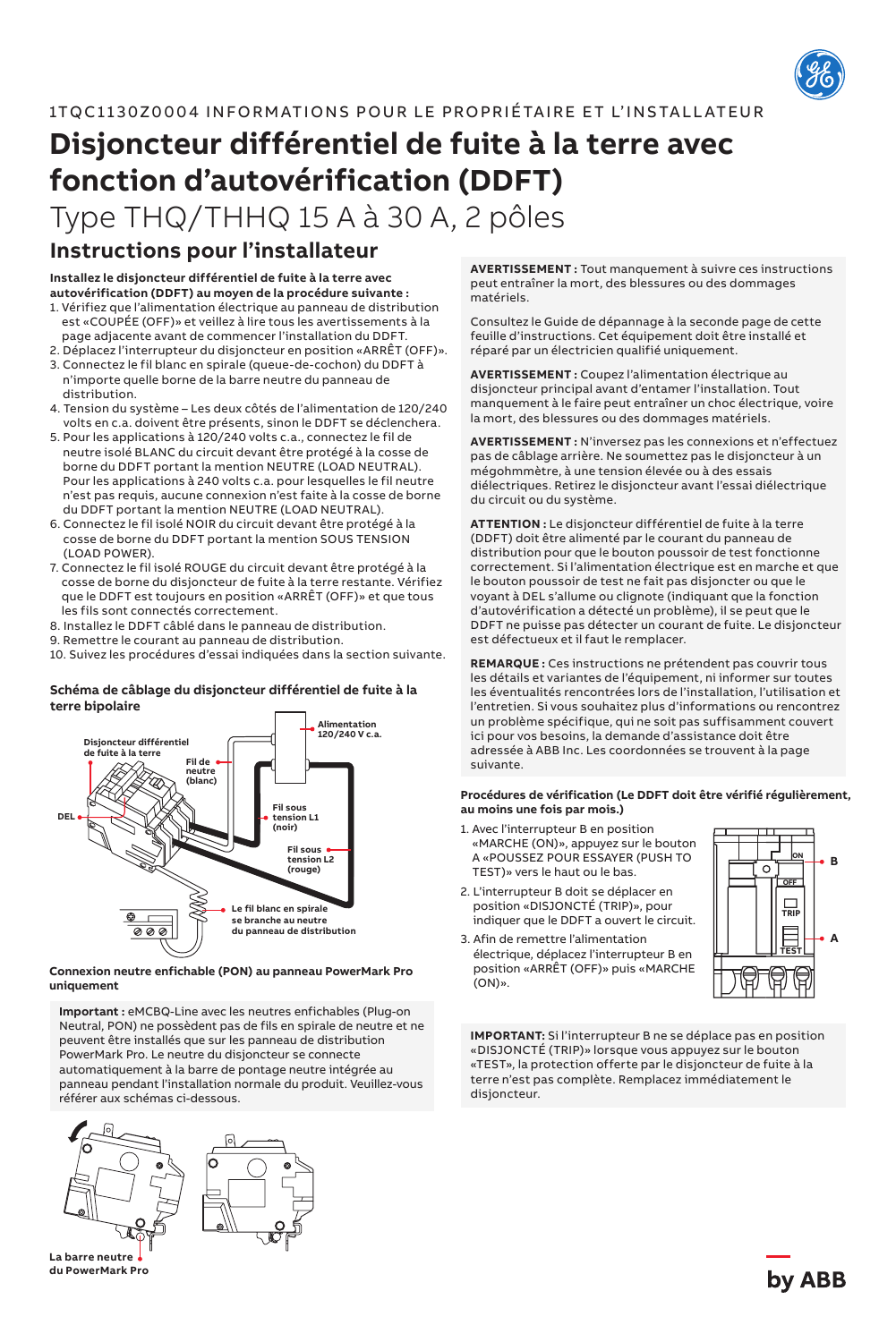

# **Disjoncteur différentiel de fuite à la terre avec fonction d'autovérification (DDFT)**

Type THQ/THHQ 15 A à 30 A, 2 pôles

## **Instructions pour l'installateur**

#### **Installez le disjoncteur différentiel de fuite à la terre avec autovérification (DDFT) au moyen de la procédure suivante :**

- 1. Vérifiez que l'alimentation électrique au panneau de distribution est «COUPÉE (OFF)» et veillez à lire tous les avertissements à la page adjacente avant de commencer l'installation du DDFT.
- 2. Déplacez l'interrupteur du disjoncteur en position «ARRÊT (OFF)».
- 3. Connectez le fil blanc en spirale (queue-de-cochon) du DDFT à n'importe quelle borne de la barre neutre du panneau de distribution.
- 4. Tension du système Les deux côtés de l'alimentation de 120/240 volts en c.a. doivent être présents, sinon le DDFT se déclenchera.
- 5. Pour les applications à 120/240 volts c.a., connectez le fil de neutre isolé BLANC du circuit devant être protégé à la cosse de borne du DDFT portant la mention NEUTRE (LOAD NEUTRAL). Pour les applications à 240 volts c.a. pour lesquelles le fil neutre n'est pas requis, aucune connexion n'est faite à la cosse de borne du DDFT portant la mention NEUTRE (LOAD NEUTRAL).
- 6. Connectez le fil isolé NOIR du circuit devant être protégé à la cosse de borne du DDFT portant la mention SOUS TENSION (LOAD POWER).
- 7. Connectez le fil isolé ROUGE du circuit devant être protégé à la **TEST** cosse de borne du disjoncteur de fuite à la terre restante. Vérifiez que le DDFT est toujours en position «ARRÊT (OFF)» et que tous les fils sont connectés correctement.
- 8. Installez le DDFT câblé dans le panneau de distribution.
- 9. Remettre le courant au panneau de distribution.
- 10. Suivez les procédures d'essai indiquées dans la section suivante.

#### **Schéma de câblage du disjoncteur différentiel de fuite à la terre bipolaire**



#### **Connexion neutre enfichable (PON) au panneau PowerMark Pro uniquement**

**Important :** eMCBQ-Line avec les neutres enfichables (Plug-on Neutral, PON) ne possèdent pas de fils en spirale de neutre et ne peuvent être installés que sur les panneau de distribution PowerMark Pro. Le neutre du disjoncteur se connecte automatiquement à la barre de pontage neutre intégrée au panneau pendant l'installation normale du produit. Veuillez-vous référer aux schémas ci-dessous.





**La barre neutre du PowerMark Pro**

**AVERTISSEMENT :** Tout manquement à suivre ces instructions peut entraîner la mort, des blessures ou des dommages matériels.

Consultez le Guide de dépannage à la seconde page de cette feuille d'instructions. Cet équipement doit être installé et réparé par un électricien qualifié uniquement.

**AVERTISSEMENT :** Coupez l'alimentation électrique au disjoncteur principal avant d'entamer l'installation. Tout manquement à le faire peut entraîner un choc électrique, voire la mort, des blessures ou des dommages matériels.

**AVERTISSEMENT :** N'inversez pas les connexions et n'effectuez pas de câblage arrière. Ne soumettez pas le disjoncteur à un mégohmmètre, à une tension élevée ou à des essais diélectriques. Retirez le disjoncteur avant l'essai diélectrique du circuit ou du système.

**ATTENTION :** Le disjoncteur différentiel de fuite à la terre (DDFT) doit être alimenté par le courant du panneau de distribution pour que le bouton poussoir de test fonctionne correctement. Si l'alimentation électrique est en marche et que le bouton poussoir de test ne fait pas disjoncter ou que le voyant à DEL s'allume ou clignote (indiquant que la fonction d'autovérification a détecté un problème), il se peut que le DDFT ne puisse pas détecter un courant de fuite. Le disjoncteur est défectueux et il faut le remplacer.

**REMARQUE :** Ces instructions ne prétendent pas couvrir tous les détails et variantes de l'équipement, ni informer sur toutes les éventualités rencontrées lors de l'installation, l'utilisation et l'entretien. Si vous souhaitez plus d'informations ou rencontrez un problème spécifique, qui ne soit pas suffisamment couvert ici pour vos besoins, la demande d'assistance doit être adressée à ABB Inc. Les coordonnées se trouvent à la page suivante.

#### **Procédures de vérification (Le DDFT doit être vérifié régulièrement, au moins une fois par mois.)**

- 1. Avec l'interrupteur B en position «MARCHE (ON)», appuyez sur le bouton A «POUSSEZ POUR ESSAYER (PUSH TO TEST)» vers le haut ou le bas.
- 2. L'interrupteur B doit se déplacer en position «DISJONCTÉ (TRIP)», pour indiquer que le DDFT a ouvert le circuit.
- 3. Afin de remettre l'alimentation électrique, déplacez l'interrupteur B en position «ARRÊT (OFF)» puis «MARCHE (ON)».



**IMPORTANT:** Si l'interrupteur B ne se déplace pas en position «DISJONCTÉ (TRIP)» lorsque vous appuyez sur le bouton «TEST», la protection offerte par le disjoncteur de fuite à la terre n'est pas complète. Remplacez immédiatement le disjoncteur.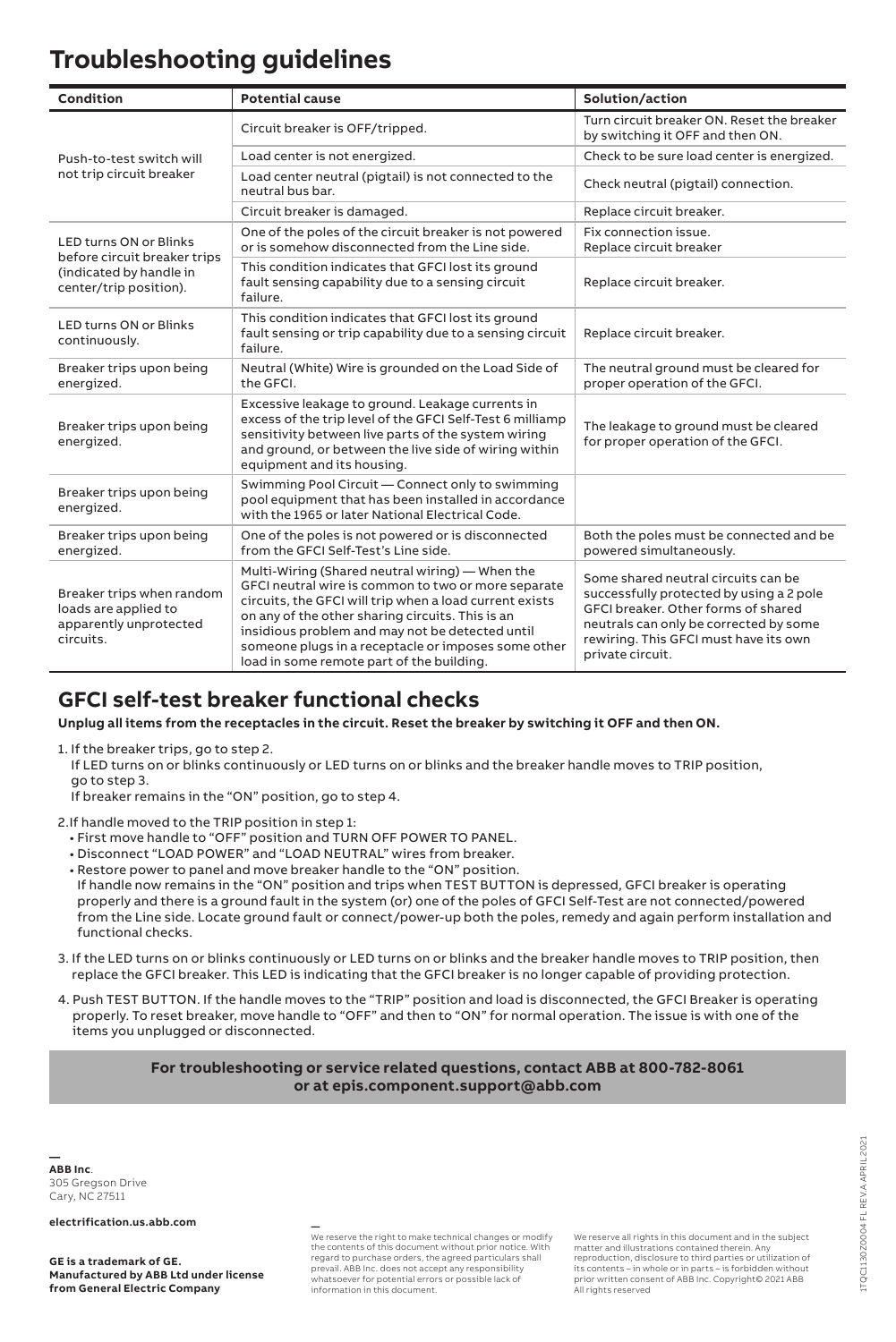## **Troubleshooting guidelines**

| Condition                                                                                                          | <b>Potential cause</b>                                                                                                                                                                                                                                                                                                                                                       | Solution/action                                                                                                                                                                                                               |
|--------------------------------------------------------------------------------------------------------------------|------------------------------------------------------------------------------------------------------------------------------------------------------------------------------------------------------------------------------------------------------------------------------------------------------------------------------------------------------------------------------|-------------------------------------------------------------------------------------------------------------------------------------------------------------------------------------------------------------------------------|
| Push-to-test switch will<br>not trip circuit breaker                                                               | Circuit breaker is OFF/tripped.                                                                                                                                                                                                                                                                                                                                              | Turn circuit breaker ON. Reset the breaker<br>by switching it OFF and then ON.                                                                                                                                                |
|                                                                                                                    | Load center is not energized.                                                                                                                                                                                                                                                                                                                                                | Check to be sure load center is energized.                                                                                                                                                                                    |
|                                                                                                                    | Load center neutral (pigtail) is not connected to the<br>neutral bus bar.                                                                                                                                                                                                                                                                                                    | Check neutral (pigtail) connection.                                                                                                                                                                                           |
|                                                                                                                    | Circuit breaker is damaged.                                                                                                                                                                                                                                                                                                                                                  | Replace circuit breaker.                                                                                                                                                                                                      |
| <b>LED turns ON or Blinks</b><br>before circuit breaker trips<br>(indicated by handle in<br>center/trip position). | One of the poles of the circuit breaker is not powered<br>or is somehow disconnected from the Line side.                                                                                                                                                                                                                                                                     | Fix connection issue.<br>Replace circuit breaker                                                                                                                                                                              |
|                                                                                                                    | This condition indicates that GFCI lost its ground<br>fault sensing capability due to a sensing circuit<br>failure.                                                                                                                                                                                                                                                          | Replace circuit breaker.                                                                                                                                                                                                      |
| <b>LED turns ON or Blinks</b><br>continuously.                                                                     | This condition indicates that GFCI lost its ground<br>fault sensing or trip capability due to a sensing circuit<br>failure.                                                                                                                                                                                                                                                  | Replace circuit breaker.                                                                                                                                                                                                      |
| Breaker trips upon being<br>energized.                                                                             | Neutral (White) Wire is grounded on the Load Side of<br>the GFCI.                                                                                                                                                                                                                                                                                                            | The neutral ground must be cleared for<br>proper operation of the GFCI.                                                                                                                                                       |
| Breaker trips upon being<br>energized.                                                                             | Excessive leakage to ground. Leakage currents in<br>excess of the trip level of the GFCI Self-Test 6 milliamp<br>sensitivity between live parts of the system wiring<br>and ground, or between the live side of wiring within<br>equipment and its housing.                                                                                                                  | The leakage to ground must be cleared<br>for proper operation of the GFCI.                                                                                                                                                    |
| Breaker trips upon being<br>energized.                                                                             | Swimming Pool Circuit - Connect only to swimming<br>pool equipment that has been installed in accordance<br>with the 1965 or later National Electrical Code.                                                                                                                                                                                                                 |                                                                                                                                                                                                                               |
| Breaker trips upon being<br>energized.                                                                             | One of the poles is not powered or is disconnected<br>from the GFCI Self-Test's Line side.                                                                                                                                                                                                                                                                                   | Both the poles must be connected and be<br>powered simultaneously.                                                                                                                                                            |
| Breaker trips when random<br>loads are applied to<br>apparently unprotected<br>circuits.                           | Multi-Wiring (Shared neutral wiring) — When the<br>GFCI neutral wire is common to two or more separate<br>circuits, the GFCI will trip when a load current exists<br>on any of the other sharing circuits. This is an<br>insidious problem and may not be detected until<br>someone plugs in a receptacle or imposes some other<br>load in some remote part of the building. | Some shared neutral circuits can be<br>successfully protected by using a 2 pole<br>GFCI breaker, Other forms of shared<br>neutrals can only be corrected by some<br>rewiring. This GFCI must have its own<br>private circuit. |

## **GFCI self-test breaker functional checks**

**Unplug all items from the receptacles in the circuit. Reset the breaker by switching it OFF and then ON.**

- 1. If the breaker trips, go to step 2.
	- If LED turns on or blinks continuously or LED turns on or blinks and the breaker handle moves to TRIP position, go to step 3.
	- If breaker remains in the "ON" position, go to step 4.
- 2.If handle moved to the TRIP position in step 1:
	- First move handle to "OFF" position and TURN OFF POWER TO PANEL.
	- Disconnect "LOAD POWER" and "LOAD NEUTRAL" wires from breaker.
	- Restore power to panel and move breaker handle to the "ON" position.
	- If handle now remains in the "ON" position and trips when TEST BUTTON is depressed, GFCI breaker is operating properly and there is a ground fault in the system (or) one of the poles of GFCI Self-Test are not connected/powered from the Line side. Locate ground fault or connect/power-up both the poles, remedy and again perform installation and functional checks.
- 3. If the LED turns on or blinks continuously or LED turns on or blinks and the breaker handle moves to TRIP position, then replace the GFCI breaker. This LED is indicating that the GFCI breaker is no longer capable of providing protection.
- 4. Push TEST BUTTON. If the handle moves to the "TRIP" position and load is disconnected, the GFCI Breaker is operating properly. To reset breaker, move handle to "OFF" and then to "ON" for normal operation. The issue is with one of the items you unplugged or disconnected.

#### **For troubleshooting or service related questions, contact ABB at 800-782-8061 or at epis.component.support@abb.com**

**— ABB Inc**. 305 Gregson Drive Cary, NC 27511

**electrification.us.abb.com**

**GE is a trademark of GE. Manufactured by ABB Ltd under license from General Electric Company**

**—** We reserve the right to make technical changes or modify the contents of this document without prior notice. With regard to purchase orders, the agreed particulars shall prevail. ABB Inc. does not accept any responsibility whatsoever for potential errors or possible lack of information in this document.

We reserve all rights in this document and in the subject matter and illustrations contained therein. Any reproduction, disclosure to third parties or utilization of its contents – in whole or in parts – is forbidden without prior written consent of ABB Inc. Copyright© 2021 ABB All rights reserved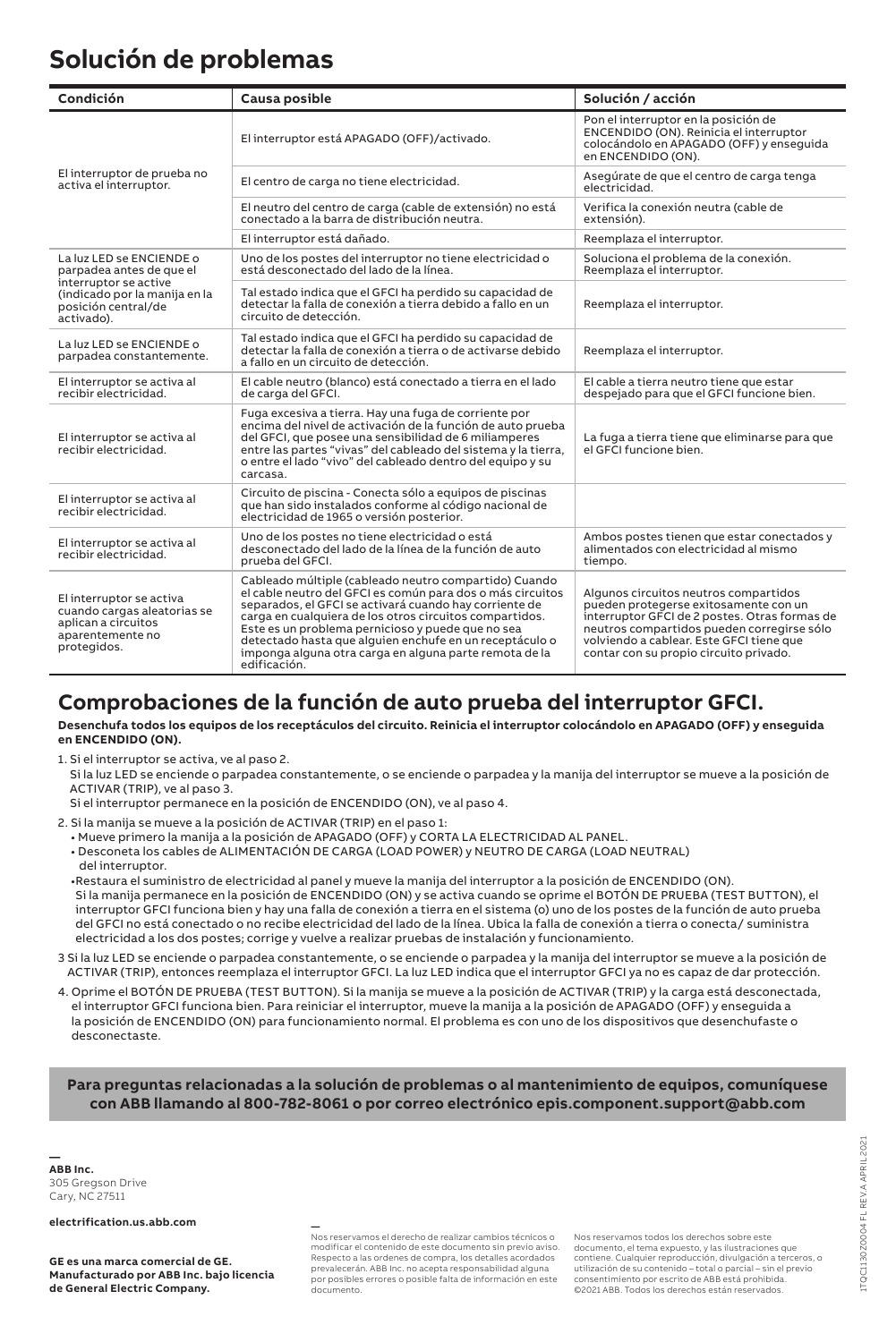## **Solución de problemas**

| Condición                                                                                                                                           | Causa posible                                                                                                                                                                                                                                                                                                                                                                                                                      | Solución / acción                                                                                                                                                                                                                                                   |
|-----------------------------------------------------------------------------------------------------------------------------------------------------|------------------------------------------------------------------------------------------------------------------------------------------------------------------------------------------------------------------------------------------------------------------------------------------------------------------------------------------------------------------------------------------------------------------------------------|---------------------------------------------------------------------------------------------------------------------------------------------------------------------------------------------------------------------------------------------------------------------|
| El interruptor de prueba no<br>activa el interruptor.                                                                                               | El interruptor está APAGADO (OFF)/activado.                                                                                                                                                                                                                                                                                                                                                                                        | Pon el interruptor en la posición de<br>ENCENDIDO (ON). Reinicia el interruptor<br>colocándolo en APAGADO (OFF) y ensequida<br>en ENCENDIDO (ON).                                                                                                                   |
|                                                                                                                                                     | El centro de carga no tiene electricidad.                                                                                                                                                                                                                                                                                                                                                                                          | Asegúrate de que el centro de carga tenga<br>electricidad.                                                                                                                                                                                                          |
|                                                                                                                                                     | El neutro del centro de carga (cable de extensión) no está<br>conectado a la barra de distribución neutra.                                                                                                                                                                                                                                                                                                                         | Verifica la conexión neutra (cable de<br>extensión).                                                                                                                                                                                                                |
|                                                                                                                                                     | El interruptor está dañado.                                                                                                                                                                                                                                                                                                                                                                                                        | Reemplaza el interruptor.                                                                                                                                                                                                                                           |
| La luz LED se ENCIENDE o<br>parpadea antes de que el<br>interruptor se active<br>(indicado por la manija en la<br>posición central/de<br>activado). | Uno de los postes del interruptor no tiene electricidad o<br>está desconectado del lado de la línea.                                                                                                                                                                                                                                                                                                                               | Soluciona el problema de la conexión.<br>Reemplaza el interruptor.                                                                                                                                                                                                  |
|                                                                                                                                                     | Tal estado indica que el GFCI ha perdido su capacidad de<br>detectar la falla de conexión a tierra debido a fallo en un<br>circuito de detección.                                                                                                                                                                                                                                                                                  | Reemplaza el interruptor.                                                                                                                                                                                                                                           |
| La luz LED se ENCIENDE o<br>parpadea constantemente.                                                                                                | Tal estado indica que el GFCI ha perdido su capacidad de<br>detectar la falla de conexión a tierra o de activarse debido<br>a fallo en un circuito de detección.                                                                                                                                                                                                                                                                   | Reemplaza el interruptor.                                                                                                                                                                                                                                           |
| El interruptor se activa al<br>recibir electricidad.                                                                                                | El cable neutro (blanco) está conectado a tierra en el lado<br>de carga del GFCI.                                                                                                                                                                                                                                                                                                                                                  | El cable a tierra neutro tiene que estar<br>despejado para que el GFCI funcione bien.                                                                                                                                                                               |
| El interruptor se activa al<br>recibir electricidad.                                                                                                | Fuga excesiva a tierra. Hay una fuga de corriente por<br>encima del nivel de activación de la función de auto prueba<br>del GFCI, que posee una sensibilidad de 6 miliamperes<br>entre las partes "vivas" del cableado del sistema y la tierra,<br>o entre el lado "vivo" del cableado dentro del equipo y su<br>carcasa.                                                                                                          | La fuga a tierra tiene que eliminarse para que<br>el GFCI funcione bien.                                                                                                                                                                                            |
| El interruptor se activa al<br>recibir electricidad.                                                                                                | Circuito de piscina - Conecta sólo a equipos de piscinas<br>que han sido instalados conforme al código nacional de<br>electricidad de 1965 o versión posterior.                                                                                                                                                                                                                                                                    |                                                                                                                                                                                                                                                                     |
| El interruptor se activa al<br>recibir electricidad.                                                                                                | Uno de los postes no tiene electricidad o está<br>desconectado del lado de la línea de la función de auto<br>prueba del GFCI.                                                                                                                                                                                                                                                                                                      | Ambos postes tienen que estar conectados y<br>alimentados con electricidad al mismo<br>tiempo.                                                                                                                                                                      |
| El interruptor se activa<br>cuando cargas aleatorias se<br>aplican a circuitos<br>aparentemente no<br>protegidos.                                   | Cableado múltiple (cableado neutro compartido) Cuando<br>el cable neutro del GFCI es común para dos o más circuitos<br>separados, el GFCI se activará cuando hay corriente de<br>carga en cualquiera de los otros circuitos compartidos.<br>Este es un problema pernicioso y puede que no sea<br>detectado hasta que alquien enchufe en un receptáculo o<br>imponga alguna otra carga en alguna parte remota de la<br>edificación. | Algunos circuitos neutros compartidos<br>pueden protegerse exitosamente con un<br>interruptor GFCI de 2 postes. Otras formas de<br>neutros compartidos pueden corregirse sólo<br>volviendo a cablear. Este GFCI tiene que<br>contar con su propio circuito privado. |

## **Comprobaciones de la función de auto prueba del interruptor GFCI.**

**Desenchufa todos los equipos de los receptáculos del circuito. Reinicia el interruptor colocándolo en APAGADO (OFF) y enseguida en ENCENDIDO (ON).**

- 1. Si el interruptor se activa, ve al paso 2.
- Si la luz LED se enciende o parpadea constantemente, o se enciende o parpadea y la manija del interruptor se mueve a la posición de ACTIVAR (TRIP), ve al paso 3.

Si el interruptor permanece en la posición de ENCENDIDO (ON), ve al paso 4.

- 2. Si la manija se mueve a la posición de ACTIVAR (TRIP) en el paso 1:
	- Mueve primero la manija a la posición de APAGADO (OFF) y CORTA LA ELECTRICIDAD AL PANEL.
	- Desconeta los cables de ALIMENTACIÓN DE CARGA (LOAD POWER) y NEUTRO DE CARGA (LOAD NEUTRAL)
	- del interruptor.

•Restaura el suministro de electricidad al panel y mueve la manija del interruptor a la posición de ENCENDIDO (ON). Si la manija permanece en la posición de ENCENDIDO (ON) y se activa cuando se oprime el BOTÓN DE PRUEBA (TEST BUTTON), el interruptor GFCI funciona bien y hay una falla de conexión a tierra en el sistema (o) uno de los postes de la función de auto prueba del GFCI no está conectado o no recibe electricidad del lado de la línea. Ubica la falla de conexión a tierra o conecta/ suministra electricidad a los dos postes; corrige y vuelve a realizar pruebas de instalación y funcionamiento.

- 3 Si la luz LED se enciende o parpadea constantemente, o se enciende o parpadea y la manija del interruptor se mueve a la posición de ACTIVAR (TRIP), entonces reemplaza el interruptor GFCI. La luz LED indica que el interruptor GFCI ya no es capaz de dar protección.
- 4. Oprime el BOTÓN DE PRUEBA (TEST BUTTON). Si la manija se mueve a la posición de ACTIVAR (TRIP) y la carga está desconectada, el interruptor GFCI funciona bien. Para reiniciar el interruptor, mueve la manija a la posición de APAGADO (OFF) y enseguida a la posición de ENCENDIDO (ON) para funcionamiento normal. El problema es con uno de los dispositivos que desenchufaste o desconectaste.

#### **Para preguntas relacionadas a la solución de problemas o al mantenimiento de equipos, comuníquese con ABB llamando al 800-782-8061 o por correo electrónico epis.component.support@abb.com**

**— ABB Inc.** 305 Gregson Drive Cary, NC 27511

**electrification.us.abb.com**

**GE es una marca comercial de GE. Manufacturado por ABB Inc. bajo licencia de General Electric Company.**

**—** Nos reservamos el derecho de realizar cambios técnicos o modificar el contenido de este documento sin previo avis Respecto a las ordenes de compra, los detalles acordados prevalecerán. ABB Inc. no acepta responsabilidad alguna por posibles errores o posible falta de información en este documento.

Nos reservamos todos los derechos sobre este documento, el tema expuesto, y las ilustraciones que contiene. Cualquier reproducción, divulgación a terceros, o utilización de su contenido – total o parcial – sin el previo consentimiento por escrito de ABB está prohibida. ©2021 ABB. Todos los derechos están reservados.